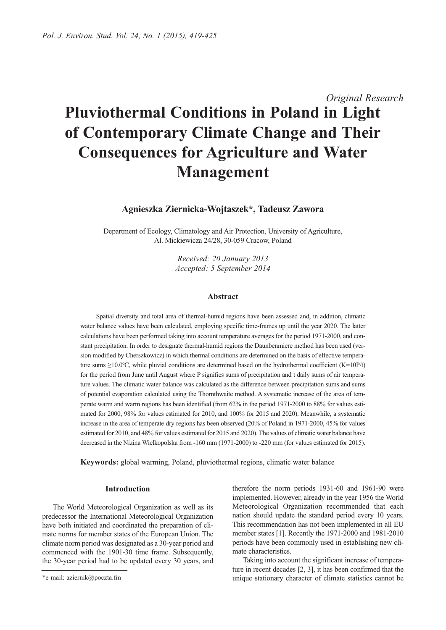# *Original Research* **Pluviothermal Conditions in Poland in Light of Contemporary Climate Change and Their Consequences for Agriculture and Water Management**

**Agnieszka Ziernicka-Wojtaszek\*, Tadeusz Zawora**

Department of Ecology, Climatology and Air Protection, University of Agriculture, Al. Mickiewicza 24/28, 30-059 Cracow, Poland

> *Received: 20 January 2013 Accepted: 5 September 2014*

#### **Abstract**

Spatial diversity and total area of thermal-humid regions have been assessed and, in addition, climatic water balance values have been calculated, employing specific time-frames up until the year 2020. The latter calculations have been performed taking into account temperature averages for the period 1971-2000, and constant precipitation. In order to designate thermal-humid regions the Daunbenmiere method has been used (version modified by Cherszkowicz) in which thermal conditions are determined on the basis of effective temperature sums  $\geq 10.0^{\circ}$ C, while pluvial conditions are determined based on the hydrothermal coefficient (K=10P/t) for the period from June until August where P signifies sums of precipitation and t daily sums of air temperature values. The climatic water balance was calculated as the difference between precipitation sums and sums of potential evaporation calculated using the Thornthwaite method. A systematic increase of the area of temperate warm and warm regions has been identified (from 62% in the period 1971-2000 to 88% for values estimated for 2000, 98% for values estimated for 2010, and 100% for 2015 and 2020). Meanwhile, a systematic increase in the area of temperate dry regions has been observed (20% of Poland in 1971-2000, 45% for values estimated for 2010, and 48% for values estimated for 2015 and 2020). The values of climatic water balance have decreased in the Nizina Wielkopolska from -160 mm (1971-2000) to -220 mm (for values estimated for 2015).

**Keywords:** global warming, Poland, pluviothermal regions, climatic water balance

### **Introduction**

The World Meteorological Organization as well as its predecessor the International Meteorological Organization have both initiated and coordinated the preparation of climate norms for member states of the European Union. The climate norm period was designated as a 30-year period and commenced with the 1901-30 time frame. Subsequently, the 30-year period had to be updated every 30 years, and therefore the norm periods 1931-60 and 1961-90 were implemented. However, already in the year 1956 the World Meteorological Organization recommended that each nation should update the standard period every 10 years. This recommendation has not been implemented in all EU member states [1]. Recently the 1971-2000 and 1981-2010 periods have been commonly used in establishing new climate characteristics.

Taking into account the significant increase of temperature in recent decades [2, 3], it has been confirmed that the unique stationary character of climate statistics cannot be

<sup>\*</sup>e-mail: aziernik@poczta.fm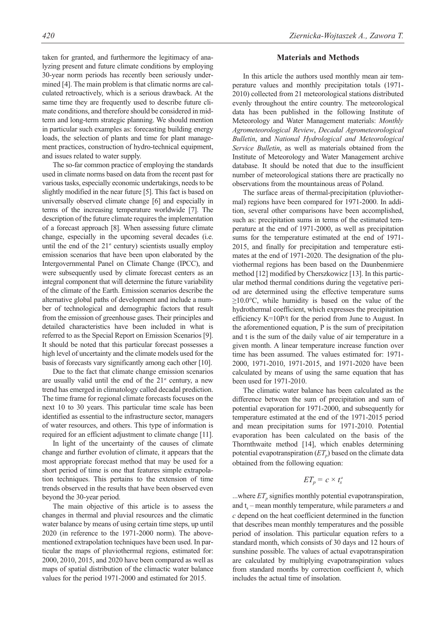taken for granted, and furthermore the legitimacy of analyzing present and future climate conditions by employing 30-year norm periods has recently been seriously undermined [4]. The main problem is that climatic norms are calculated retroactively, which is a serious drawback. At the same time they are frequently used to describe future climate conditions, and therefore should be considered in midterm and long-term strategic planning. We should mention in particular such examples as: forecasting building energy loads, the selection of plants and time for plant management practices, construction of hydro-technical equipment, and issues related to water supply.

The so-far common practice of employing the standards used in climate norms based on data from the recent past for various tasks, especially economic undertakings, needs to be slightly modified in the near future [5]. This fact is based on universally observed climate change [6] and especially in terms of the increasing temperature worldwide [7]. The description of the future climate requires the implementation of a forecast approach [8]. When assessing future climate change, especially in the upcoming several decades (i.e. until the end of the  $21<sup>st</sup>$  century) scientists usually employ emission scenarios that have been upon elaborated by the Intergovernmental Panel on Climate Change (IPCC), and were subsequently used by climate forecast centers as an integral component that will determine the future variability of the climate of the Earth. Emission scenarios describe the alternative global paths of development and include a number of technological and demographic factors that result from the emission of greenhouse gases. Their principles and detailed characteristics have been included in what is referred to as the Special Report on Emission Scenarios [9]. It should be noted that this particular forecast possesses a high level of uncertainty and the climate models used for the basis of forecasts vary significantly among each other [10].

Due to the fact that climate change emission scenarios are usually valid until the end of the  $21<sup>st</sup>$  century, a new trend has emerged in climatology called decadal prediction. The time frame for regional climate forecasts focuses on the next 10 to 30 years. This particular time scale has been identified as essential to the infrastructure sector, managers of water resources, and others. This type of information is required for an efficient adjustment to climate change [11].

In light of the uncertainty of the causes of climate change and further evolution of climate, it appears that the most appropriate forecast method that may be used for a short period of time is one that features simple extrapolation techniques. This pertains to the extension of time trends observed in the results that have been observed even beyond the 30-year period.

The main objective of this article is to assess the changes in thermal and pluvial resources and the climatic water balance by means of using certain time steps, up until 2020 (in reference to the 1971-2000 norm). The abovementioned extrapolation techniques have been used. In particular the maps of pluviothermal regions, estimated for: 2000, 2010, 2015, and 2020 have been compared as well as maps of spatial distribution of the climactic water balance values for the period 1971-2000 and estimated for 2015.

# *420 Ziernicka-Wojtaszek A., Zawora T.*

# **Materials and Methods**

In this article the authors used monthly mean air temperature values and monthly precipitation totals (1971- 2010) collected from 21 meteorological stations distributed evenly throughout the entire country. The meteorological data has been published in the following Institute of Meteorology and Water Management materials: *Monthly Agrometeorological Review*, *Decadal Agrometeorological Bulletin*, and *National Hydrological and Meteorological Service Bulletin*, as well as materials obtained from the Institute of Meteorology and Water Management archive database. It should be noted that due to the insufficient number of meteorological stations there are practically no observations from the mountainous areas of Poland.

The surface areas of thermal-precipitation (pluviothermal) regions have been compared for 1971-2000. In addition, several other comparisons have been accomplished, such as: precipitation sums in terms of the estimated temperature at the end of 1971-2000, as well as precipitation sums for the temperature estimated at the end of 1971- 2015, and finally for precipitation and temperature estimates at the end of 1971-2020. The designation of the pluviothermal regions has been based on the Daunbenmiere method [12] modified by Cherszkowicz [13]. In this particular method thermal conditions during the vegetative period are determined using the effective temperature sums  $\geq 10.0$ °C, while humidity is based on the value of the hydrothermal coefficient, which expresses the precipitation efficiency K=10P/t for the period from June to August. In the aforementioned equation, P is the sum of precipitation and t is the sum of the daily value of air temperature in a given month. A linear temperature increase function over time has been assumed. The values estimated for: 1971- 2000, 1971-2010, 1971-2015, and 1971-2020 have been calculated by means of using the same equation that has been used for 1971-2010.

The climatic water balance has been calculated as the difference between the sum of precipitation and sum of potential evaporation for 1971-2000, and subsequently for temperature estimated at the end of the 1971-2015 period and mean precipitation sums for 1971-2010. Potential evaporation has been calculated on the basis of the Thornthwaite method [14], which enables determining potential evapotranspiration  $(ET_p)$  based on the climate data obtained from the following equation:

# $ET_p = c \times t_s^a$

...where  $ET_p$  signifies monthly potential evapotranspiration, and  $t_s$  – mean monthly temperature, while parameters  $a$  and *c* depend on the heat coefficient determined in the function that describes mean monthly temperatures and the possible period of insolation. This particular equation refers to a standard month, which consists of 30 days and 12 hours of sunshine possible. The values of actual evapotranspiration are calculated by multiplying evapotranspiration values from standard months by correction coefficient *b*, which includes the actual time of insolation.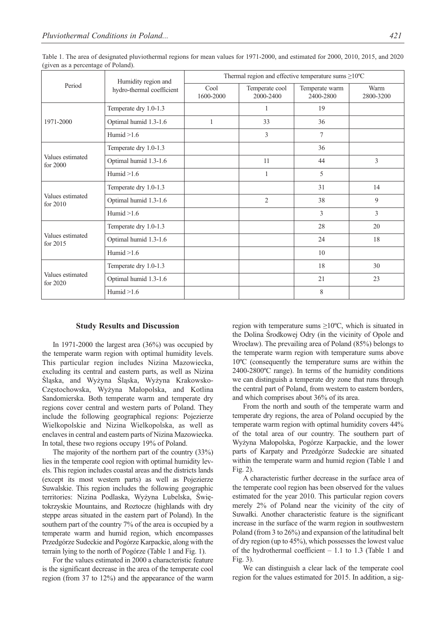| $\tilde{}$<br>Period         | Humidity region and<br>hydro-thermal coefficient | Thermal region and effective temperature sums $\geq$ 10°C |                             |                             |                   |
|------------------------------|--------------------------------------------------|-----------------------------------------------------------|-----------------------------|-----------------------------|-------------------|
|                              |                                                  | Cool<br>1600-2000                                         | Temperate cool<br>2000-2400 | Temperate warm<br>2400-2800 | Warm<br>2800-3200 |
| 1971-2000                    | Temperate dry 1.0-1.3                            |                                                           | 1                           | 19                          |                   |
|                              | Optimal humid 1.3-1.6                            | 1                                                         | 33                          | 36                          |                   |
|                              | Humid $>1.6$                                     |                                                           | 3                           | 7                           |                   |
| Values estimated<br>for 2000 | Temperate dry 1.0-1.3                            |                                                           |                             | 36                          |                   |
|                              | Optimal humid 1.3-1.6                            |                                                           | 11                          | 44                          | 3                 |
|                              | Humid $>1.6$                                     |                                                           | $\mathbf{1}$                | 5                           |                   |
| Values estimated<br>for 2010 | Temperate dry 1.0-1.3                            |                                                           |                             | 31                          | 14                |
|                              | Optimal humid 1.3-1.6                            |                                                           | $\overline{2}$              | 38                          | 9                 |
|                              | Humid $>1.6$                                     |                                                           |                             | 3                           | 3                 |
| Values estimated<br>for 2015 | Temperate dry 1.0-1.3                            |                                                           |                             | 28                          | 20                |
|                              | Optimal humid 1.3-1.6                            |                                                           |                             | 24                          | 18                |
|                              | Humid $>1.6$                                     |                                                           |                             | 10                          |                   |
| Values estimated<br>for 2020 | Temperate dry 1.0-1.3                            |                                                           |                             | 18                          | 30                |
|                              | Optimal humid 1.3-1.6                            |                                                           |                             | 21                          | 23                |
|                              | Humid $>1.6$                                     |                                                           |                             | $\,8\,$                     |                   |

Table 1. The area of designated pluviothermal regions for mean values for 1971-2000, and estimated for 2000, 2010, 2015, and 2020 (given as a percentage of Poland).

#### **Study Results and Discussion**

In 1971-2000 the largest area (36%) was occupied by the temperate warm region with optimal humidity levels. This particular region includes Nizina Mazowiecka, excluding its central and eastern parts, as well as Nizina Śląska, and Wyżyna Śląska, Wyżyna Krakowsko-Częstochowska, Wyżyna Małopolska, and Kotlina Sandomierska. Both temperate warm and temperate dry regions cover central and western parts of Poland. They include the following geographical regions: Pojezierze Wielkopolskie and Nizina Wielkopolska, as well as enclaves in central and eastern parts of Nizina Mazowiecka. In total, these two regions occupy 19% of Poland.

The majority of the northern part of the country (33%) lies in the temperate cool region with optimal humidity levels. This region includes coastal areas and the districts lands (except its most western parts) as well as Pojezierze Suwalskie. This region includes the following geographic territories: Nizina Podlaska, Wyżyna Lubelska, Świętokrzyskie Mountains, and Roztocze (highlands with dry steppe areas situated in the eastern part of Poland). In the southern part of the country 7% of the area is occupied by a temperate warm and humid region, which encompasses Przedgórze Sudeckie and Pogórze Karpackie, along with the terrain lying to the north of Pogórze (Table 1 and Fig. 1).

For the values estimated in 2000 a characteristic feature is the significant decrease in the area of the temperate cool region (from 37 to 12%) and the appearance of the warm region with temperature sums  $\geq 10^{\circ}$ C, which is situated in the Dolina Środkowej Odry (in the vicinity of Opole and Wrocław). The prevailing area of Poland (85%) belongs to the temperate warm region with temperature sums above 10ºC (consequently the temperature sums are within the 2400-2800ºC range). In terms of the humidity conditions we can distinguish a temperate dry zone that runs through the central part of Poland, from western to eastern borders, and which comprises about 36% of its area.

From the north and south of the temperate warm and temperate dry regions, the area of Poland occupied by the temperate warm region with optimal humidity covers 44% of the total area of our country. The southern part of Wyżyna Małopolska, Pogórze Karpackie, and the lower parts of Karpaty and Przedgórze Sudeckie are situated within the temperate warm and humid region (Table 1 and Fig. 2).

A characteristic further decrease in the surface area of the temperate cool region has been observed for the values estimated for the year 2010. This particular region covers merely 2% of Poland near the vicinity of the city of Suwałki. Another characteristic feature is the significant increase in the surface of the warm region in southwestern Poland (from 3 to 26%) and expansion of the latitudinal belt of dry region (up to 45%), which possesses the lowest value of the hydrothermal coefficient – 1.1 to 1.3 (Table 1 and Fig. 3).

We can distinguish a clear lack of the temperate cool region for the values estimated for 2015. In addition, a sig-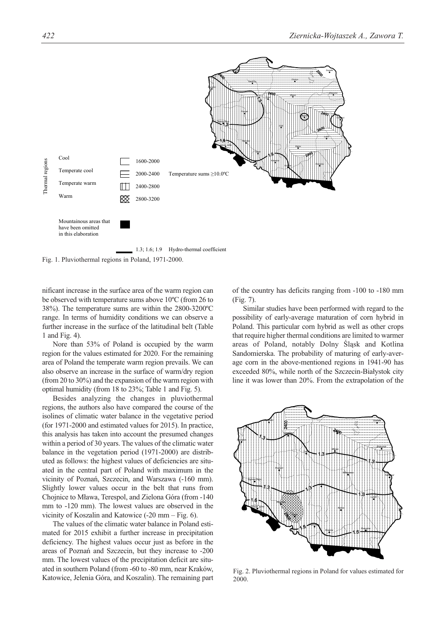

Fig. 1. Pluviothermal regions in Poland, 1971-2000.

nificant increase in the surface area of the warm region can be observed with temperature sums above 10ºC (from 26 to 38%). The temperature sums are within the 2800-3200ºC range. In terms of humidity conditions we can observe a further increase in the surface of the latitudinal belt (Table 1 and Fig. 4).

Nore than 53% of Poland is occupied by the warm region for the values estimated for 2020. For the remaining area of Poland the temperate warm region prevails. We can also observe an increase in the surface of warm/dry region (from 20 to 30%) and the expansion of the warm region with optimal humidity (from 18 to 23%; Table 1 and Fig. 5).

Besides analyzing the changes in pluviothermal regions, the authors also have compared the course of the isolines of climatic water balance in the vegetative period (for 1971-2000 and estimated values for 2015). In practice, this analysis has taken into account the presumed changes within a period of 30 years. The values of the climatic water balance in the vegetation period (1971-2000) are distributed as follows: the highest values of deficiencies are situated in the central part of Poland with maximum in the vicinity of Poznań, Szczecin, and Warszawa (-160 mm). Slightly lower values occur in the belt that runs from Chojnice to Mława, Terespol, and Zielona Góra (from -140 mm to -120 mm). The lowest values are observed in the vicinity of Koszalin and Katowice (-20 mm – Fig. 6).

The values of the climatic water balance in Poland estimated for 2015 exhibit a further increase in precipitation deficiency. The highest values occur just as before in the areas of Poznań and Szczecin, but they increase to -200 mm. The lowest values of the precipitation deficit are situated in southern Poland (from -60 to -80 mm, near Kraków, Katowice, Jelenia Góra, and Koszalin). The remaining part of the country has deficits ranging from -100 to -180 mm (Fig. 7).

Similar studies have been performed with regard to the possibility of early-average maturation of corn hybrid in Poland. This particular corn hybrid as well as other crops that require higher thermal conditions are limited to warmer areas of Poland, notably Dolny Śląsk and Kotlina Sandomierska. The probability of maturing of early-average corn in the above-mentioned regions in 1941-90 has exceeded 80%, while north of the Szczecin-Białystok city line it was lower than 20%. From the extrapolation of the



Fig. 2. Pluviothermal regions in Poland for values estimated for 2000.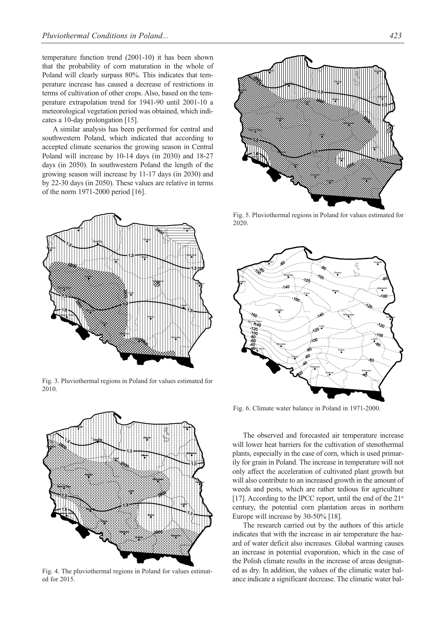temperature function trend (2001-10) it has been shown that the probability of corn maturation in the whole of Poland will clearly surpass 80%. This indicates that temperature increase has caused a decrease of restrictions in terms of cultivation of other crops. Also, based on the temperature extrapolation trend for 1941-90 until 2001-10 a meteorological vegetation period was obtained, which indicates a 10-day prolongation [15].

A similar analysis has been performed for central and southwestern Poland, which indicated that according to accepted climate scenarios the growing season in Central Poland will increase by 10-14 days (in 2030) and 18-27 days (in 2050). In southwestern Poland the length of the growing season will increase by 11-17 days (in 2030) and by 22-30 days (in 2050). These values are relative in terms of the norm 1971-2000 period [16].



Fig. 3. Pluviothermal regions in Poland for values estimated for 2010.



Fig. 4. The pluviothermal regions in Poland for values estimated for 2015.



Fig. 5. Pluviothermal regions in Poland for values estimated for 2020.



Fig. 6. Climate water balance in Poland in 1971-2000.

The observed and forecasted air temperature increase will lower heat barriers for the cultivation of stenothermal plants, especially in the case of corn, which is used primarily for grain in Poland. The increase in temperature will not only affect the acceleration of cultivated plant growth but will also contribute to an increased growth in the amount of weeds and pests, which are rather tedious for agriculture [17]. According to the IPCC report, until the end of the  $21<sup>st</sup>$ century, the potential corn plantation areas in northern Europe will increase by 30-50% [18].

The research carried out by the authors of this article indicates that with the increase in air temperature the hazard of water deficit also increases. Global warming causes an increase in potential evaporation, which in the case of the Polish climate results in the increase of areas designated as dry. In addition, the values of the climatic water balance indicate a significant decrease. The climatic water bal-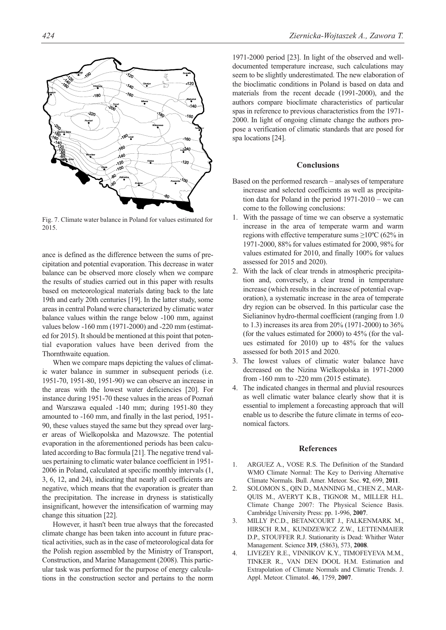

Fig. 7. Climate water balance in Poland for values estimated for 2015.

ance is defined as the difference between the sums of precipitation and potential evaporation. This decrease in water balance can be observed more closely when we compare the results of studies carried out in this paper with results based on meteorological materials dating back to the late 19th and early 20th centuries [19]. In the latter study, some areas in central Poland were characterized by climatic water balance values within the range below -100 mm, against values below -160 mm (1971-2000) and -220 mm (estimated for 2015). It should be mentioned at this point that potential evaporation values have been derived from the Thornthwaite equation.

When we compare maps depicting the values of climatic water balance in summer in subsequent periods (i.e. 1951-70, 1951-80, 1951-90) we can observe an increase in the areas with the lowest water deficiencies [20]. For instance during 1951-70 these values in the areas of Poznań and Warszawa equaled -140 mm; during 1951-80 they amounted to -160 mm, and finally in the last period, 1951- 90, these values stayed the same but they spread over larger areas of Wielkopolska and Mazowsze. The potential evaporation in the aforementioned periods has been calculated according to Bac formula [21]. The negative trend values pertaining to climatic water balance coefficient in 1951- 2006 in Poland, calculated at specific monthly intervals (1, 3, 6, 12, and 24), indicating that nearly all coefficients are negative, which means that the evaporation is greater than the precipitation. The increase in dryness is statistically insignificant, however the intensification of warming may change this situation [22].

However, it hasn't been true always that the forecasted climate change has been taken into account in future practical activities, such as in the case of meteorological data for the Polish region assembled by the Ministry of Transport, Construction, and Marine Management (2008). This particular task was performed for the purpose of energy calculations in the construction sector and pertains to the norm

1971-2000 period [23]. In light of the observed and welldocumented temperature increase, such calculations may seem to be slightly underestimated. The new elaboration of the bioclimatic conditions in Poland is based on data and materials from the recent decade (1991-2000), and the authors compare bioclimate characteristics of particular spas in reference to previous characteristics from the 1971- 2000. In light of ongoing climate change the authors propose a verification of climatic standards that are posed for spa locations [24].

# **Conclusions**

- Based on the performed research analyses of temperature increase and selected coefficients as well as precipitation data for Poland in the period 1971-2010 – we can come to the following conclusions:
- 1. With the passage of time we can observe a systematic increase in the area of temperate warm and warm regions with effective temperature sums  $\geq$ 10°C (62% in 1971-2000, 88% for values estimated for 2000, 98% for values estimated for 2010, and finally 100% for values assessed for 2015 and 2020).
- 2. With the lack of clear trends in atmospheric precipitation and, conversely, a clear trend in temperature increase (which results in the increase of potential evaporation), a systematic increase in the area of temperate dry region can be observed. In this particular case the Sielianinov hydro-thermal coefficient (ranging from 1.0 to 1.3) increases its area from 20% (1971-2000) to 36% (for the values estimated for 2000) to 45% (for the values estimated for 2010) up to 48% for the values assessed for both 2015 and 2020.
- 3. The lowest values of climatic water balance have decreased on the Nizina Wielkopolska in 1971-2000 from -160 mm to -220 mm (2015 estimate).
- 4. The indicated changes in thermal and pluvial resources as well climatic water balance clearly show that it is essential to implement a forecasting approach that will enable us to describe the future climate in terms of economical factors.

#### **References**

- 1. ARGUEZ A., VOSE R.S. The Definition of the Standard WMO Climate Normal: The Key to Deriving Alternative Climate Normals. Bull. Amer. Meteor. Soc. **92**, 699, **2011**.
- 2. SOLOMON S., QIN D., MANNING M., CHEN Z., MAR-QUIS M., AVERYT K.B., TIGNOR M., MILLER H.L. Climate Change 2007: The Physical Science Basis. Cambridge University Press: pp. 1-996, **2007**.
- 3. MILLY P.C.D., BETANCOURT J., FALKENMARK M., HIRSCH R.M., KUNDZEWICZ Z.W., LETTENMAIER D.P., STOUFFER R.J. Stationarity is Dead: Whither Water Management. Science **319**, (5863), 573, **2008**.
- 4. LIVEZEY R.E., VINNIKOV K.Y., TIMOFEYEVA M.M., TINKER R., VAN DEN DOOL H.M. Estimation and Extrapolation of Climate Normals and Climatic Trends. J. Appl. Meteor. Climatol. **46**, 1759, **2007**.